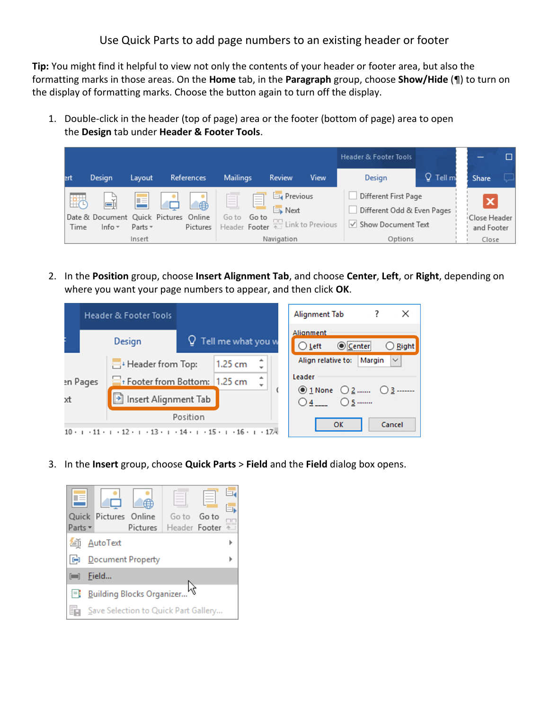Use Quick Parts to add page numbers to an existing header or footer

**Tip:** You might find it helpful to view not only the contents of your header or footer area, but also the formatting marks in those areas. On the **Home** tab, in the **Paragraph** group, choose **Show/Hide** (¶) to turn on the display of formatting marks. Choose the button again to turn off the display.

1. Double-click in the header (top of page) area or the footer (bottom of page) area to open the **Design** tab under **Header & Footer Tools**.



2. In the **Position** group, choose **Insert Alignment Tab**, and choose **Center**, **Left**, or **Right**, depending on where you want your page numbers to appear, and then click **OK**.

|                | <b>Header &amp; Footer Tools</b>                                                                                   |                                                                         |                             |         |    | Alignment Tab                                                                            |                        | X       |
|----------------|--------------------------------------------------------------------------------------------------------------------|-------------------------------------------------------------------------|-----------------------------|---------|----|------------------------------------------------------------------------------------------|------------------------|---------|
|                |                                                                                                                    | Design                                                                  | $\Omega$ Tell me what you w |         |    | Alianment<br>Center<br>$O$ Left                                                          |                        | ◯ Right |
| en Pages<br>xt |                                                                                                                    | Header from Top:<br>Footer from Bottom: 1.25 cm<br>Insert Alignment Tab |                             | 1.25 cm | ┻  | Align relative to:                                                                       | Margin<br>$\checkmark$ |         |
|                |                                                                                                                    |                                                                         |                             |         | ┻  | Leader                                                                                   |                        |         |
|                |                                                                                                                    |                                                                         |                             |         |    | $\circledcirc$ 1 None $\circledcirc$ 2 $\circledcirc$ 3 -------<br>$O$ 5<br>$\bigcirc$ 4 |                        |         |
| Position       |                                                                                                                    |                                                                         |                             |         | OK |                                                                                          | Cancel                 |         |
|                | $12 \cdot 1 \cdot 13 \cdot 1 \cdot 14 \cdot 1 \cdot 15 \cdot 1 \cdot 16 \cdot 1 \cdot 17$<br>$10 \cdot 1 \cdot 11$ |                                                                         |                             |         |    |                                                                                          |                        |         |

3. In the **Insert** group, choose **Quick Parts** > **Field** and the **Field** dialog box opens.

|                                                |                                      | Quick Pictures Online |            | Goto          | Go to |  |  |
|------------------------------------------------|--------------------------------------|-----------------------|------------|---------------|-------|--|--|
| Parts +                                        |                                      |                       | Pictures L | Header Footer |       |  |  |
| 缅                                              | AutoText                             |                       |            |               |       |  |  |
| 10                                             | Document Property                    |                       |            |               |       |  |  |
| $\begin{bmatrix} 1 & 1 \\ 1 & 1 \end{bmatrix}$ | Field                                |                       |            |               |       |  |  |
|                                                | <b>Building Blocks Organizer</b>     |                       |            |               |       |  |  |
| r                                              | Save Selection to Quick Part Gallery |                       |            |               |       |  |  |